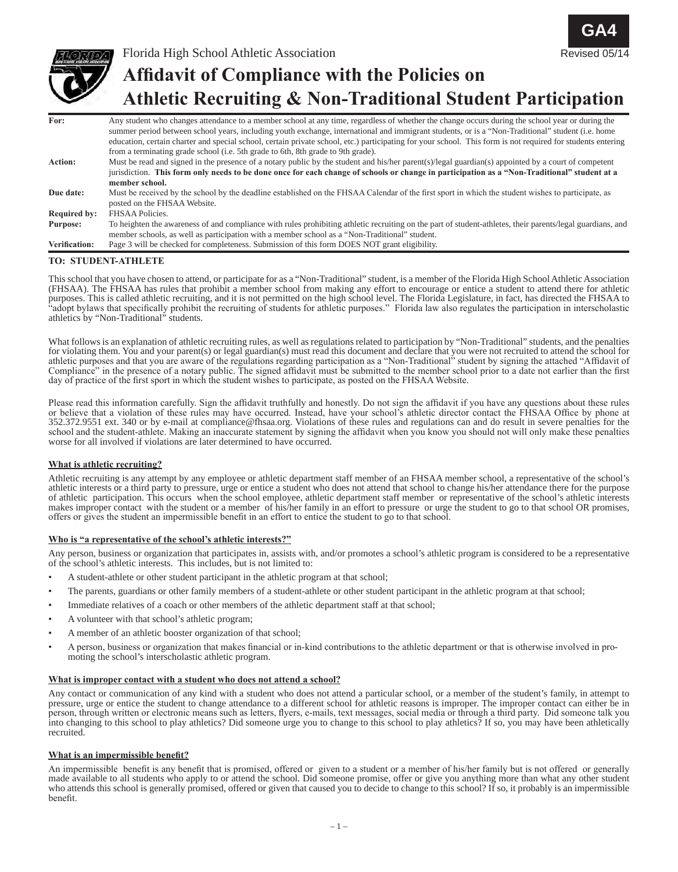

Florida High School Athletic Association **Affidavit of Compliance with the Policies on Athletic Recruiting & Non-Traditional Student Participation** Revised 05/14

**GA4**

| For:                 | Any student who changes attendance to a member school at any time, regardless of whether the change occurs during the school year or during the             |
|----------------------|-------------------------------------------------------------------------------------------------------------------------------------------------------------|
|                      | summer period between school years, including youth exchange, international and immigrant students, or is a "Non-Traditional" student (i.e. home            |
|                      | education, certain charter and special school, certain private school, etc.) participating for your school. This form is not required for students entering |
|                      | from a terminating grade school (i.e. 5th grade to 6th, 8th grade to 9th grade).                                                                            |
| <b>Action:</b>       | Must be read and signed in the presence of a notary public by the student and his/her parent(s)/legal guardian(s) appointed by a court of competent         |
|                      | jurisdiction. This form only needs to be done once for each change of schools or change in participation as a "Non-Traditional" student at a                |
|                      | member school.                                                                                                                                              |
| Due date:            | Must be received by the school by the deadline established on the FHSAA Calendar of the first sport in which the student wishes to participate, as          |
|                      | posted on the FHSAA Website.                                                                                                                                |
| <b>Required by:</b>  | FHSAA Policies.                                                                                                                                             |
| Purpose:             | To heighten the awareness of and compliance with rules prohibiting athletic recruiting on the part of student-athletes, their parents/legal guardians, and  |
|                      | member schools, as well as participation with a member school as a "Non-Traditional" student.                                                               |
| <b>Verification:</b> | Page 3 will be checked for completeness. Submission of this form DOES NOT grant eligibility.                                                                |

## **TO: STUDENT-ATHLETE**

This school that you have chosen to attend, or participate for as a "Non-Traditional" student, is a member of the Florida High School Athletic Association (FHSAA). The FHSAA has rules that prohibit a member school from making any effort to encourage or entice a student to attend there for athletic purposes. This is called athletic recruiting, and it is not permitted on the high school level. The Florida Legislature, in fact, has directed the FHSAA to "adopt bylaws that specifically prohibit the recruiting of students for athletic purposes." Florida law also regulates the participation in interscholastic athletics by "Non-Traditional" students.

What follows is an explanation of athletic recruiting rules, as well as regulations related to participation by "Non-Traditional" students, and the penalties for violating them. You and your parent(s) or legal guardian(s) must read this document and declare that you were not recruited to attend the school for athletic purposes and that you are aware of the regulations regarding participation as a "Non-Traditional" student by signing the attached "Affidavit of Compliance" in the presence of a notary public. The signed affidavit must be submitted to the member school prior to a date not earlier than the first day of practice of the first sport in which the student wishes to participate, as posted on the FHSAA Website.

Please read this information carefully. Sign the affidavit truthfully and honestly. Do not sign the affidavit if you have any questions about these rules or believe that a violation of these rules may have occurred. Instead, have your school's athletic director contact the FHSAA Office by phone at 352.372.9551 ext. 340 or by e-mail at compliance@fhsaa.org. Violations of these rules and regulations can and do result in severe penalties for the school and the student-athlete. Making an inaccurate statement by signing the affidavit when you know you should not will only make these penalties worse for all involved if violations are later determined to have occurred.

## **What is athletic recruiting?**

Athletic recruiting is any attempt by any employee or athletic department staff member of an FHSAA member school, a representative of the school's athletic interests or a third party to pressure, urge or entice a student who does not attend that school to change his/her attendance there for the purpose of athletic participation. This occurs when the school employee, athletic department staff member or representative of the school's athletic interests makes improper contact with the student or a member of his/her family in an effort to pressure or urge the student to go to that school OR promises, offers or gives the student an impermissible benefit in an effort to entice the student to go to that school.

## **Who is "a representative of the school's athletic interests?"**

Any person, business or organization that participates in, assists with, and/or promotes a school's athletic program is considered to be a representative of the school's athletic interests. This includes, but is not limited to:

- A student-athlete or other student participant in the athletic program at that school;
- The parents, guardians or other family members of a student-athlete or other student participant in the athletic program at that school;
- Immediate relatives of a coach or other members of the athletic department staff at that school;
- A volunteer with that school's athletic program;
- A member of an athletic booster organization of that school;
- A person, business or organization that makes financial or in-kind contributions to the athletic department or that is otherwise involved in promoting the school's interscholastic athletic program.

## **What is improper contact with a student who does not attend a school?**

Any contact or communication of any kind with a student who does not attend a particular school, or a member of the student's family, in attempt to pressure, urge or entice the student to change attendance to a different school for athletic reasons is improper. The improper contact can either be in person, through written or electronic means such as letters, flyers, e-mails, text messages, social media or through a third party. Did someone talk you into changing to this school to play athletics? Did someone urge you to change to this school to play athletics? If so, you may have been athletically recruited.

## **What is an impermissible benefit?**

An impermissible benefit is any benefit that is promised, offered or given to a student or a member of his/her family but is not offered or generally made available to all students who apply to or attend the school. Did someone promise, offer or give you anything more than what any other student who attends this school is generally promised, offered or given that caused you to decide to change to this school? If so, it probably is an impermissible benefit.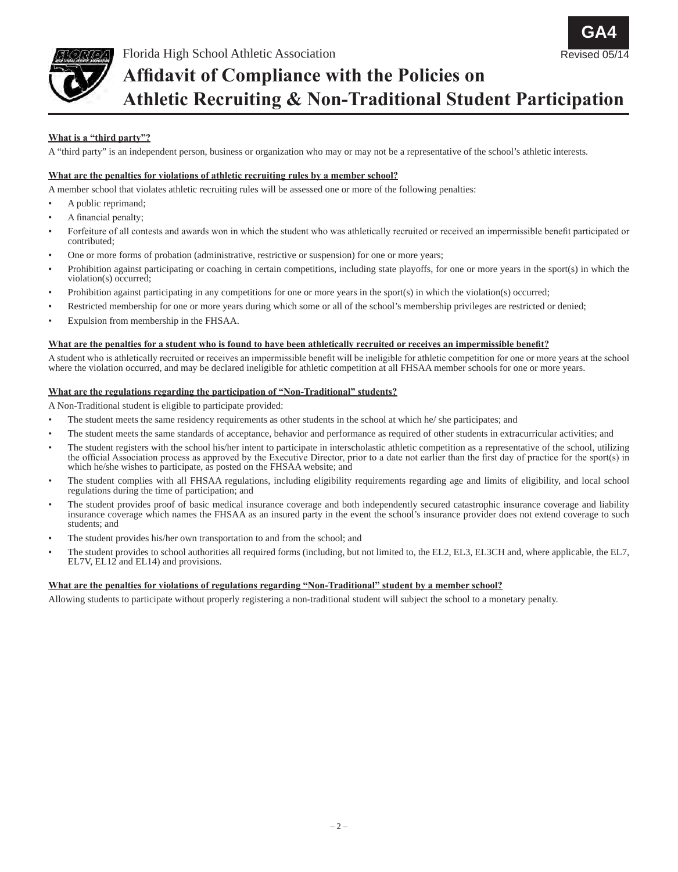

# **Affidavit of Compliance with the Policies on Athletic Recruiting & Non-Traditional Student Participation**

# **What is a "third party"?**

A "third party" is an independent person, business or organization who may or may not be a representative of the school's athletic interests.

## **What are the penalties for violations of athletic recruiting rules by a member school?**

A member school that violates athletic recruiting rules will be assessed one or more of the following penalties:

- A public reprimand;
- A financial penalty;
- Forfeiture of all contests and awards won in which the student who was athletically recruited or received an impermissible benefit participated or contributed;
- One or more forms of probation (administrative, restrictive or suspension) for one or more years;
- Prohibition against participating or coaching in certain competitions, including state playoffs, for one or more years in the sport(s) in which the violation(s) occurred;
- Prohibition against participating in any competitions for one or more years in the sport $(s)$  in which the violation $(s)$  occurred;
- Restricted membership for one or more years during which some or all of the school's membership privileges are restricted or denied;
- Expulsion from membership in the FHSAA.

## **What are the penalties for a student who is found to have been athletically recruited or receives an impermissible benefit?**

A student who is athletically recruited or receives an impermissible benefit will be ineligible for athletic competition for one or more years at the school where the violation occurred, and may be declared ineligible for athletic competition at all FHSAA member schools for one or more years.

## **What are the regulations regarding the participation of "Non-Traditional" students?**

A Non-Traditional student is eligible to participate provided:

- The student meets the same residency requirements as other students in the school at which he/ she participates; and
- The student meets the same standards of acceptance, behavior and performance as required of other students in extracurricular activities; and
- The student registers with the school his/her intent to participate in interscholastic athletic competition as a representative of the school, utilizing the official Association process as approved by the Executive Director, prior to a date not earlier than the first day of practice for the sport(s) in which he/she wishes to participate, as posted on the FHSAA website; and
- The student complies with all FHSAA regulations, including eligibility requirements regarding age and limits of eligibility, and local school regulations during the time of participation; and
- The student provides proof of basic medical insurance coverage and both independently secured catastrophic insurance coverage and liability insurance coverage which names the FHSAA as an insured party in the event the school's insurance provider does not extend coverage to such students; and
- The student provides his/her own transportation to and from the school; and
- The student provides to school authorities all required forms (including, but not limited to, the EL2, EL3, EL3CH and, where applicable, the EL7, EL7V, EL12 and EL14) and provisions.

## **What are the penalties for violations of regulations regarding "Non-Traditional" student by a member school?**

Allowing students to participate without properly registering a non-traditional student will subject the school to a monetary penalty.